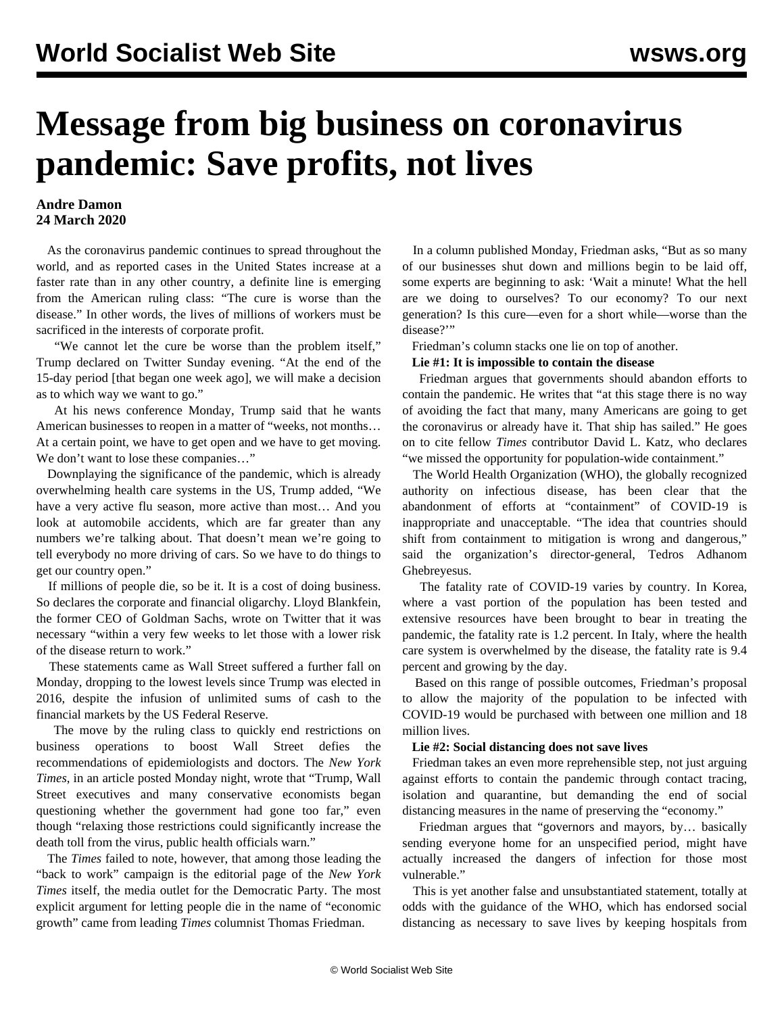# **Message from big business on coronavirus pandemic: Save profits, not lives**

### **Andre Damon 24 March 2020**

 As the coronavirus pandemic continues to spread throughout the world, and as reported cases in the United States increase at a faster rate than in any other country, a definite line is emerging from the American ruling class: "The cure is worse than the disease." In other words, the lives of millions of workers must be sacrificed in the interests of corporate profit.

 "We cannot let the cure be worse than the problem itself," Trump declared on Twitter Sunday evening. "At the end of the 15-day period [that began one week ago], we will make a decision as to which way we want to go."

 At his news conference Monday, Trump said that he wants American businesses to reopen in a matter of "weeks, not months… At a certain point, we have to get open and we have to get moving. We don't want to lose these companies…"

 Downplaying the significance of the pandemic, which is already overwhelming health care systems in the US, Trump added, "We have a very active flu season, more active than most... And you look at automobile accidents, which are far greater than any numbers we're talking about. That doesn't mean we're going to tell everybody no more driving of cars. So we have to do things to get our country open."

 If millions of people die, so be it. It is a cost of doing business. So declares the corporate and financial oligarchy. Lloyd Blankfein, the former CEO of Goldman Sachs, wrote on Twitter that it was necessary "within a very few weeks to let those with a lower risk of the disease return to work."

 These statements came as Wall Street suffered a further fall on Monday, dropping to the lowest levels since Trump was elected in 2016, despite the infusion of unlimited sums of cash to the financial markets by the US Federal Reserve.

 The move by the ruling class to quickly end restrictions on business operations to boost Wall Street defies the recommendations of epidemiologists and doctors. The *New York Times*, in an article posted Monday night, wrote that "Trump, Wall Street executives and many conservative economists began questioning whether the government had gone too far," even though "relaxing those restrictions could significantly increase the death toll from the virus, public health officials warn."

 The *Times* failed to note, however, that among those leading the "back to work" campaign is the editorial page of the *New York Times* itself, the media outlet for the Democratic Party. The most explicit argument for letting people die in the name of "economic growth" came from leading *Times* columnist Thomas Friedman.

 In a column published Monday, Friedman asks, "But as so many of our businesses shut down and millions begin to be laid off, some experts are beginning to ask: 'Wait a minute! What the hell are we doing to ourselves? To our economy? To our next generation? Is this cure—even for a short while—worse than the disease?"

Friedman's column stacks one lie on top of another.

#### **Lie #1: It is impossible to contain the disease**

 Friedman argues that governments should abandon efforts to contain the pandemic. He writes that "at this stage there is no way of avoiding the fact that many, many Americans are going to get the coronavirus or already have it. That ship has sailed." He goes on to cite fellow *Times* contributor David L. Katz, who declares "we missed the opportunity for population-wide containment."

 The World Health Organization (WHO), the globally recognized authority on infectious disease, has been clear that the abandonment of efforts at "containment" of COVID-19 is inappropriate and unacceptable. "The idea that countries should shift from containment to mitigation is wrong and dangerous," said the organization's director-general, Tedros Adhanom Ghebreyesus.

 The fatality rate of COVID-19 varies by country. In Korea, where a vast portion of the population has been tested and extensive resources have been brought to bear in treating the pandemic, the fatality rate is 1.2 percent. In Italy, where the health care system is overwhelmed by the disease, the fatality rate is 9.4 percent and growing by the day.

 Based on this range of possible outcomes, Friedman's proposal to allow the majority of the population to be infected with COVID-19 would be purchased with between one million and 18 million lives.

#### **Lie #2: Social distancing does not save lives**

 Friedman takes an even more reprehensible step, not just arguing against efforts to contain the pandemic through contact tracing, isolation and quarantine, but demanding the end of social distancing measures in the name of preserving the "economy."

 Friedman argues that "governors and mayors, by… basically sending everyone home for an unspecified period, might have actually increased the dangers of infection for those most vulnerable."

 This is yet another false and unsubstantiated statement, totally at odds with the guidance of the WHO, which has endorsed social distancing as necessary to save lives by keeping hospitals from